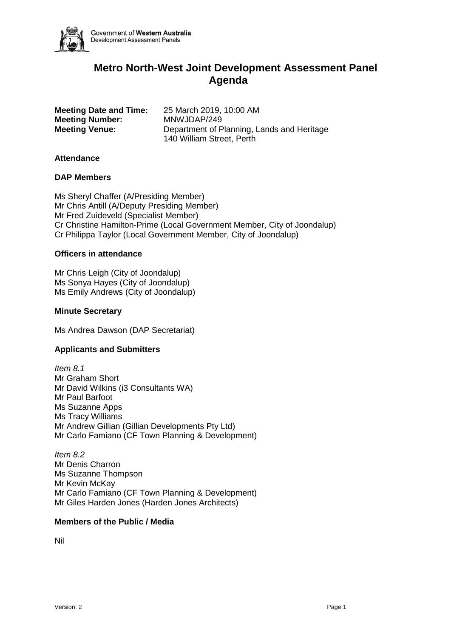

# **Metro North-West Joint Development Assessment Panel Agenda**

**Meeting Number:** MNWJDAP/249

**Meeting Date and Time:** 25 March 2019, 10:00 AM **Meeting Venue:** Department of Planning, Lands and Heritage 140 William Street, Perth

### **Attendance**

#### **DAP Members**

Ms Sheryl Chaffer (A/Presiding Member) Mr Chris Antill (A/Deputy Presiding Member) Mr Fred Zuideveld (Specialist Member) Cr Christine Hamilton-Prime (Local Government Member, City of Joondalup) Cr Philippa Taylor (Local Government Member, City of Joondalup)

#### **Officers in attendance**

Mr Chris Leigh (City of Joondalup) Ms Sonya Hayes (City of Joondalup) Ms Emily Andrews (City of Joondalup)

#### **Minute Secretary**

Ms Andrea Dawson (DAP Secretariat)

# **Applicants and Submitters**

*Item 8.1* Mr Graham Short Mr David Wilkins (i3 Consultants WA) Mr Paul Barfoot Ms Suzanne Apps Ms Tracy Williams Mr Andrew Gillian (Gillian Developments Pty Ltd) Mr Carlo Famiano (CF Town Planning & Development)

*Item 8.2* Mr Denis Charron Ms Suzanne Thompson Mr Kevin McKay Mr Carlo Famiano (CF Town Planning & Development) Mr Giles Harden Jones (Harden Jones Architects)

#### **Members of the Public / Media**

Nil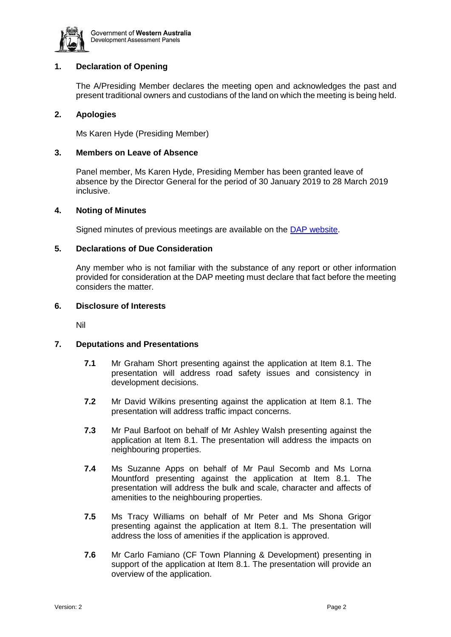

# **1. Declaration of Opening**

The A/Presiding Member declares the meeting open and acknowledges the past and present traditional owners and custodians of the land on which the meeting is being held.

### **2. Apologies**

Ms Karen Hyde (Presiding Member)

#### **3. Members on Leave of Absence**

Panel member, Ms Karen Hyde, Presiding Member has been granted leave of absence by the Director General for the period of 30 January 2019 to 28 March 2019 inclusive.

#### **4. Noting of Minutes**

Signed minutes of previous meetings are available on the [DAP website.](https://www.dplh.wa.gov.au/about/development-assessment-panels/daps-agendas-and-minutes)

#### **5. Declarations of Due Consideration**

Any member who is not familiar with the substance of any report or other information provided for consideration at the DAP meeting must declare that fact before the meeting considers the matter.

#### **6. Disclosure of Interests**

Nil

### **7. Deputations and Presentations**

- **7.1** Mr Graham Short presenting against the application at Item 8.1. The presentation will address road safety issues and consistency in development decisions.
- **7.2** Mr David Wilkins presenting against the application at Item 8.1. The presentation will address traffic impact concerns.
- **7.3** Mr Paul Barfoot on behalf of Mr Ashley Walsh presenting against the application at Item 8.1. The presentation will address the impacts on neighbouring properties.
- **7.4** Ms Suzanne Apps on behalf of Mr Paul Secomb and Ms Lorna Mountford presenting against the application at Item 8.1. The presentation will address the bulk and scale, character and affects of amenities to the neighbouring properties.
- **7.5** Ms Tracy Williams on behalf of Mr Peter and Ms Shona Grigor presenting against the application at Item 8.1. The presentation will address the loss of amenities if the application is approved.
- **7.6** Mr Carlo Famiano (CF Town Planning & Development) presenting in support of the application at Item 8.1. The presentation will provide an overview of the application.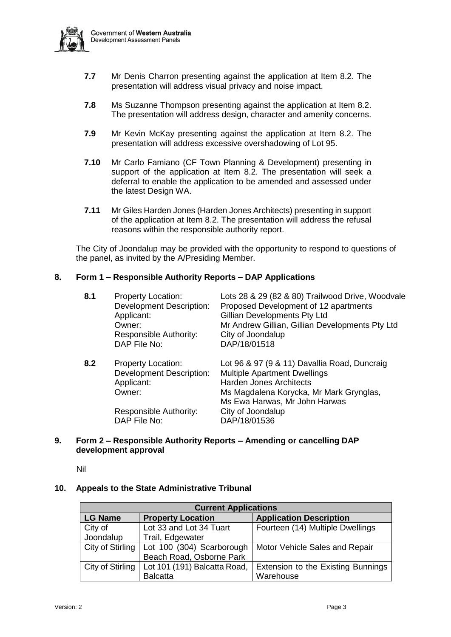

- **7.7** Mr Denis Charron presenting against the application at Item 8.2. The presentation will address visual privacy and noise impact.
- **7.8** Ms Suzanne Thompson presenting against the application at Item 8.2. The presentation will address design, character and amenity concerns.
- **7.9** Mr Kevin McKay presenting against the application at Item 8.2. The presentation will address excessive overshadowing of Lot 95.
- **7.10** Mr Carlo Famiano (CF Town Planning & Development) presenting in support of the application at Item 8.2. The presentation will seek a deferral to enable the application to be amended and assessed under the latest Design WA.
- **7.11** Mr Giles Harden Jones (Harden Jones Architects) presenting in support of the application at Item 8.2. The presentation will address the refusal reasons within the responsible authority report.

The City of Joondalup may be provided with the opportunity to respond to questions of the panel, as invited by the A/Presiding Member.

# **8. Form 1 – Responsible Authority Reports – DAP Applications**

| 8.1 | <b>Property Location:</b><br><b>Development Description:</b><br>Applicant:<br>Owner:<br>Responsible Authority:<br>DAP File No: | Lots 28 & 29 (82 & 80) Trailwood Drive, Woodvale<br>Proposed Development of 12 apartments<br>Gillian Developments Pty Ltd<br>Mr Andrew Gillian, Gillian Developments Pty Ltd<br>City of Joondalup<br>DAP/18/01518 |
|-----|--------------------------------------------------------------------------------------------------------------------------------|-------------------------------------------------------------------------------------------------------------------------------------------------------------------------------------------------------------------|
| 8.2 | <b>Property Location:</b><br><b>Development Description:</b><br>Applicant:<br>Owner:                                           | Lot 96 & 97 (9 & 11) Davallia Road, Duncraig<br><b>Multiple Apartment Dwellings</b><br><b>Harden Jones Architects</b><br>Ms Magdalena Korycka, Mr Mark Grynglas,<br>Ms Ewa Harwas, Mr John Harwas                 |
|     | Responsible Authority:<br>DAP File No:                                                                                         | City of Joondalup<br>DAP/18/01536                                                                                                                                                                                 |

#### **9. Form 2 – Responsible Authority Reports – Amending or cancelling DAP development approval**

Nil

# **10. Appeals to the State Administrative Tribunal**

| <b>Current Applications</b> |                              |                                    |  |  |  |
|-----------------------------|------------------------------|------------------------------------|--|--|--|
| <b>LG Name</b>              | <b>Property Location</b>     | <b>Application Description</b>     |  |  |  |
| City of                     | Lot 33 and Lot 34 Tuart      | Fourteen (14) Multiple Dwellings   |  |  |  |
| Joondalup                   | Trail, Edgewater             |                                    |  |  |  |
| City of Stirling            | Lot 100 (304) Scarborough    | Motor Vehicle Sales and Repair     |  |  |  |
|                             | Beach Road, Osborne Park     |                                    |  |  |  |
| City of Stirling            | Lot 101 (191) Balcatta Road, | Extension to the Existing Bunnings |  |  |  |
|                             | <b>Balcatta</b>              | Warehouse                          |  |  |  |